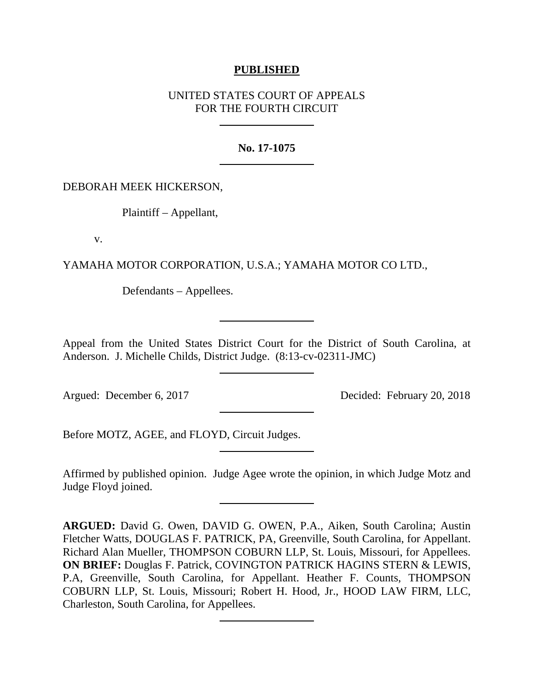## **PUBLISHED**

# UNITED STATES COURT OF APPEALS FOR THE FOURTH CIRCUIT

### **No. 17-1075**

### DEBORAH MEEK HICKERSON,

Plaintiff – Appellant,

v.

YAMAHA MOTOR CORPORATION, U.S.A.; YAMAHA MOTOR CO LTD.,

Defendants – Appellees.

Appeal from the United States District Court for the District of South Carolina, at Anderson. J. Michelle Childs, District Judge. (8:13-cv-02311-JMC)

Argued: December 6, 2017 Decided: February 20, 2018

Before MOTZ, AGEE, and FLOYD, Circuit Judges.

Affirmed by published opinion. Judge Agee wrote the opinion, in which Judge Motz and Judge Floyd joined.

**ARGUED:** David G. Owen, DAVID G. OWEN, P.A., Aiken, South Carolina; Austin Fletcher Watts, DOUGLAS F. PATRICK, PA, Greenville, South Carolina, for Appellant. Richard Alan Mueller, THOMPSON COBURN LLP, St. Louis, Missouri, for Appellees. **ON BRIEF:** Douglas F. Patrick, COVINGTON PATRICK HAGINS STERN & LEWIS, P.A, Greenville, South Carolina, for Appellant. Heather F. Counts, THOMPSON COBURN LLP, St. Louis, Missouri; Robert H. Hood, Jr., HOOD LAW FIRM, LLC, Charleston, South Carolina, for Appellees.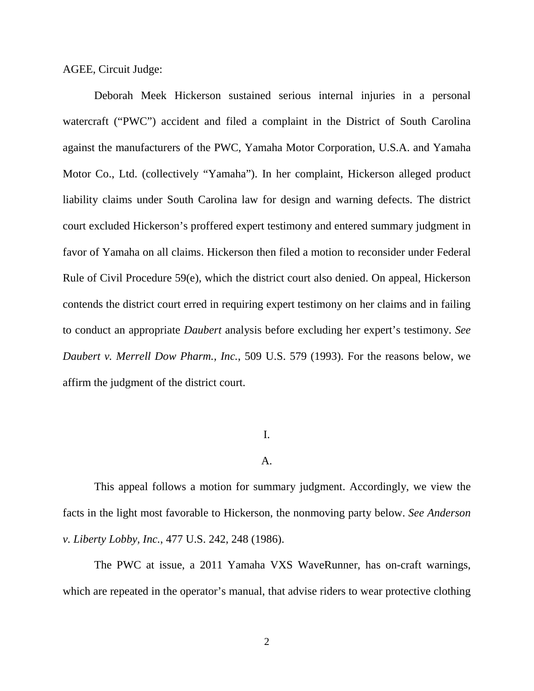AGEE, Circuit Judge:

Deborah Meek Hickerson sustained serious internal injuries in a personal watercraft ("PWC") accident and filed a complaint in the District of South Carolina against the manufacturers of the PWC, Yamaha Motor Corporation, U.S.A. and Yamaha Motor Co., Ltd. (collectively "Yamaha"). In her complaint, Hickerson alleged product liability claims under South Carolina law for design and warning defects. The district court excluded Hickerson's proffered expert testimony and entered summary judgment in favor of Yamaha on all claims. Hickerson then filed a motion to reconsider under Federal Rule of Civil Procedure 59(e), which the district court also denied. On appeal, Hickerson contends the district court erred in requiring expert testimony on her claims and in failing to conduct an appropriate *Daubert* analysis before excluding her expert's testimony. *See Daubert v. Merrell Dow Pharm., Inc.*, 509 U.S. 579 (1993). For the reasons below, we affirm the judgment of the district court.

### I.

### A.

This appeal follows a motion for summary judgment. Accordingly, we view the facts in the light most favorable to Hickerson, the nonmoving party below. *See Anderson v. Liberty Lobby, Inc.*, 477 U.S. 242, 248 (1986).

The PWC at issue, a 2011 Yamaha VXS WaveRunner, has on-craft warnings, which are repeated in the operator's manual, that advise riders to wear protective clothing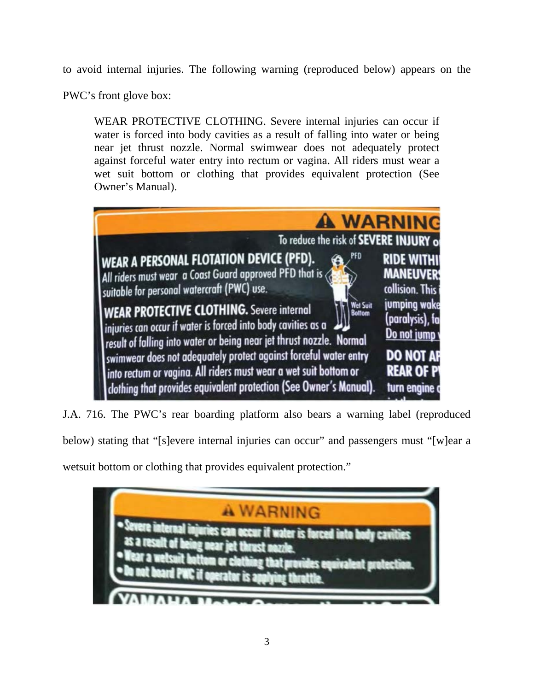to avoid internal injuries. The following warning (reproduced below) appears on the

PWC's front glove box:

WEAR PROTECTIVE CLOTHING. Severe internal injuries can occur if water is forced into body cavities as a result of falling into water or being near jet thrust nozzle. Normal swimwear does not adequately protect against forceful water entry into rectum or vagina. All riders must wear a wet suit bottom or clothing that provides equivalent protection (See Owner's Manual).



J.A. 716. The PWC's rear boarding platform also bears a warning label (reproduced

below) stating that "[s]evere internal injuries can occur" and passengers must "[w]ear a

wetsuit bottom or clothing that provides equivalent protection."

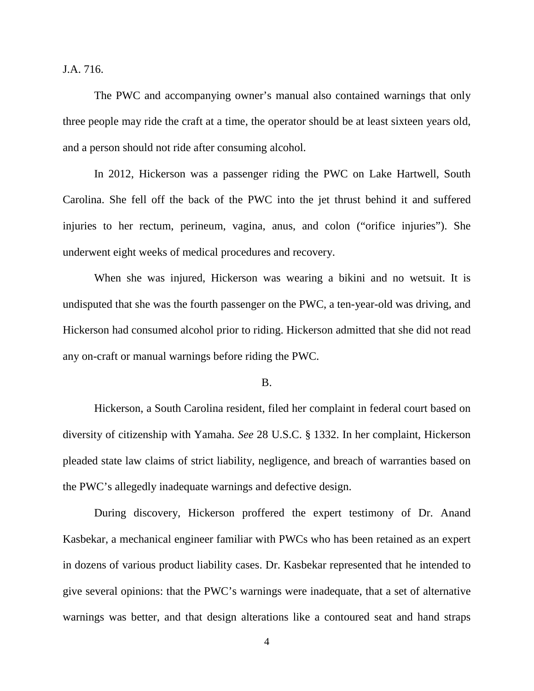J.A. 716.

The PWC and accompanying owner's manual also contained warnings that only three people may ride the craft at a time, the operator should be at least sixteen years old, and a person should not ride after consuming alcohol.

In 2012, Hickerson was a passenger riding the PWC on Lake Hartwell, South Carolina. She fell off the back of the PWC into the jet thrust behind it and suffered injuries to her rectum, perineum, vagina, anus, and colon ("orifice injuries"). She underwent eight weeks of medical procedures and recovery.

When she was injured, Hickerson was wearing a bikini and no wetsuit. It is undisputed that she was the fourth passenger on the PWC, a ten-year-old was driving, and Hickerson had consumed alcohol prior to riding. Hickerson admitted that she did not read any on-craft or manual warnings before riding the PWC.

B.

Hickerson, a South Carolina resident, filed her complaint in federal court based on diversity of citizenship with Yamaha. *See* 28 U.S.C. § 1332. In her complaint, Hickerson pleaded state law claims of strict liability, negligence, and breach of warranties based on the PWC's allegedly inadequate warnings and defective design.

During discovery, Hickerson proffered the expert testimony of Dr. Anand Kasbekar, a mechanical engineer familiar with PWCs who has been retained as an expert in dozens of various product liability cases. Dr. Kasbekar represented that he intended to give several opinions: that the PWC's warnings were inadequate, that a set of alternative warnings was better, and that design alterations like a contoured seat and hand straps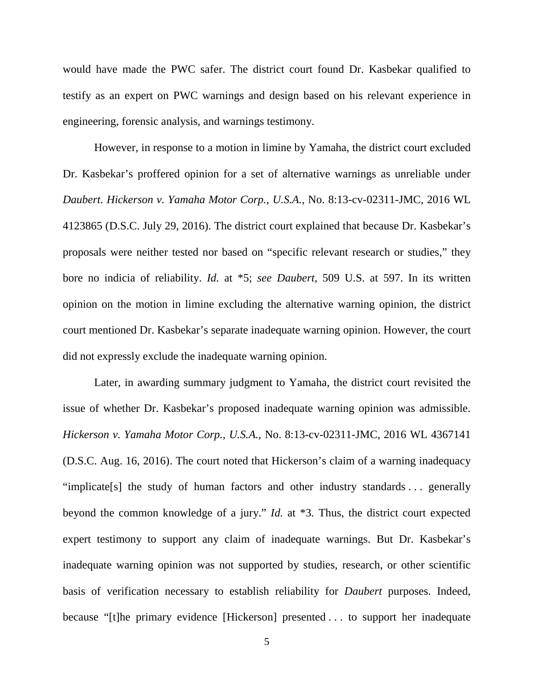would have made the PWC safer. The district court found Dr. Kasbekar qualified to testify as an expert on PWC warnings and design based on his relevant experience in engineering, forensic analysis, and warnings testimony.

However, in response to a motion in limine by Yamaha, the district court excluded Dr. Kasbekar's proffered opinion for a set of alternative warnings as unreliable under *Daubert*. *Hickerson v. Yamaha Motor Corp., U.S.A.*, No. 8:13-cv-02311-JMC, 2016 WL 4123865 (D.S.C. July 29, 2016). The district court explained that because Dr. Kasbekar's proposals were neither tested nor based on "specific relevant research or studies," they bore no indicia of reliability. *Id.* at \*5; *see Daubert*, 509 U.S. at 597. In its written opinion on the motion in limine excluding the alternative warning opinion, the district court mentioned Dr. Kasbekar's separate inadequate warning opinion. However, the court did not expressly exclude the inadequate warning opinion.

Later, in awarding summary judgment to Yamaha, the district court revisited the issue of whether Dr. Kasbekar's proposed inadequate warning opinion was admissible. *Hickerson v. Yamaha Motor Corp., U.S.A.*, No. 8:13-cv-02311-JMC, 2016 WL 4367141 (D.S.C. Aug. 16, 2016). The court noted that Hickerson's claim of a warning inadequacy "implicate[s] the study of human factors and other industry standards . . . generally beyond the common knowledge of a jury." *Id.* at \*3*.* Thus, the district court expected expert testimony to support any claim of inadequate warnings. But Dr. Kasbekar's inadequate warning opinion was not supported by studies, research, or other scientific basis of verification necessary to establish reliability for *Daubert* purposes. Indeed, because "[t]he primary evidence [Hickerson] presented . . . to support her inadequate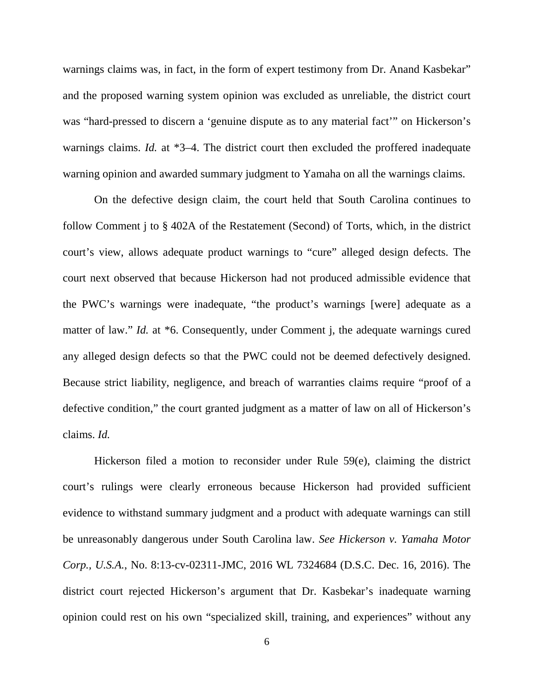warnings claims was, in fact, in the form of expert testimony from Dr. Anand Kasbekar" and the proposed warning system opinion was excluded as unreliable, the district court was "hard-pressed to discern a 'genuine dispute as to any material fact'" on Hickerson's warnings claims. *Id.* at \*3–4. The district court then excluded the proffered inadequate warning opinion and awarded summary judgment to Yamaha on all the warnings claims.

On the defective design claim, the court held that South Carolina continues to follow Comment j to § 402A of the Restatement (Second) of Torts, which, in the district court's view, allows adequate product warnings to "cure" alleged design defects. The court next observed that because Hickerson had not produced admissible evidence that the PWC's warnings were inadequate, "the product's warnings [were] adequate as a matter of law." *Id.* at \*6. Consequently, under Comment j, the adequate warnings cured any alleged design defects so that the PWC could not be deemed defectively designed. Because strict liability, negligence, and breach of warranties claims require "proof of a defective condition," the court granted judgment as a matter of law on all of Hickerson's claims. *Id.*

Hickerson filed a motion to reconsider under Rule 59(e), claiming the district court's rulings were clearly erroneous because Hickerson had provided sufficient evidence to withstand summary judgment and a product with adequate warnings can still be unreasonably dangerous under South Carolina law. *See Hickerson v. Yamaha Motor Corp., U.S.A.*, No. 8:13-cv-02311-JMC, 2016 WL 7324684 (D.S.C. Dec. 16, 2016). The district court rejected Hickerson's argument that Dr. Kasbekar's inadequate warning opinion could rest on his own "specialized skill, training, and experiences" without any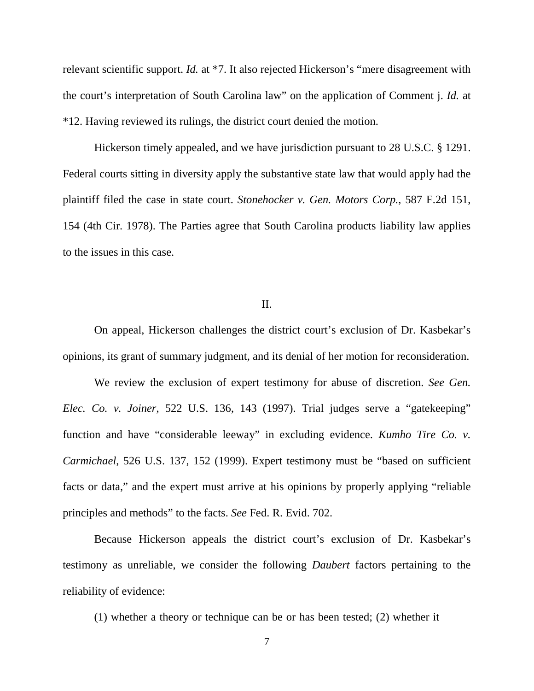relevant scientific support. *Id.* at \*7. It also rejected Hickerson's "mere disagreement with the court's interpretation of South Carolina law" on the application of Comment j. *Id.* at \*12. Having reviewed its rulings, the district court denied the motion.

Hickerson timely appealed, and we have jurisdiction pursuant to 28 U.S.C. § 1291. Federal courts sitting in diversity apply the substantive state law that would apply had the plaintiff filed the case in state court. *Stonehocker v. Gen. Motors Corp.*, 587 F.2d 151, 154 (4th Cir. 1978). The Parties agree that South Carolina products liability law applies to the issues in this case.

### II.

On appeal, Hickerson challenges the district court's exclusion of Dr. Kasbekar's opinions, its grant of summary judgment, and its denial of her motion for reconsideration.

We review the exclusion of expert testimony for abuse of discretion. *See Gen. Elec. Co. v. Joiner*, 522 U.S. 136, 143 (1997). Trial judges serve a "gatekeeping" function and have "considerable leeway" in excluding evidence. *Kumho Tire Co. v. Carmichael*, 526 U.S. 137, 152 (1999). Expert testimony must be "based on sufficient facts or data," and the expert must arrive at his opinions by properly applying "reliable principles and methods" to the facts. *See* Fed. R. Evid. 702.

Because Hickerson appeals the district court's exclusion of Dr. Kasbekar's testimony as unreliable, we consider the following *Daubert* factors pertaining to the reliability of evidence:

(1) whether a theory or technique can be or has been tested; (2) whether it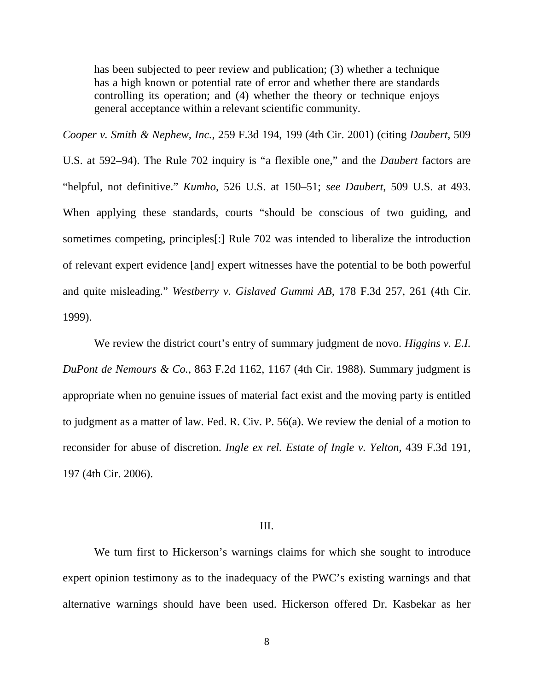has been subjected to peer review and publication; (3) whether a technique has a high known or potential rate of error and whether there are standards controlling its operation; and (4) whether the theory or technique enjoys general acceptance within a relevant scientific community.

*Cooper v. Smith & Nephew, Inc.*, 259 F.3d 194, 199 (4th Cir. 2001) (citing *Daubert*, 509

U.S. at 592–94). The Rule 702 inquiry is "a flexible one," and the *Daubert* factors are "helpful, not definitive." *Kumho*, 526 U.S. at 150–51; *see Daubert*, 509 U.S. at 493. When applying these standards, courts "should be conscious of two guiding, and sometimes competing, principles[:] Rule 702 was intended to liberalize the introduction of relevant expert evidence [and] expert witnesses have the potential to be both powerful and quite misleading." *Westberry v. Gislaved Gummi AB*, 178 F.3d 257, 261 (4th Cir. 1999).

We review the district court's entry of summary judgment de novo. *Higgins v. E.I. DuPont de Nemours & Co.*, 863 F.2d 1162, 1167 (4th Cir. 1988). Summary judgment is appropriate when no genuine issues of material fact exist and the moving party is entitled to judgment as a matter of law. Fed. R. Civ. P. 56(a). We review the denial of a motion to reconsider for abuse of discretion. *Ingle ex rel. Estate of Ingle v. Yelton*, 439 F.3d 191, 197 (4th Cir. 2006).

#### III.

We turn first to Hickerson's warnings claims for which she sought to introduce expert opinion testimony as to the inadequacy of the PWC's existing warnings and that alternative warnings should have been used. Hickerson offered Dr. Kasbekar as her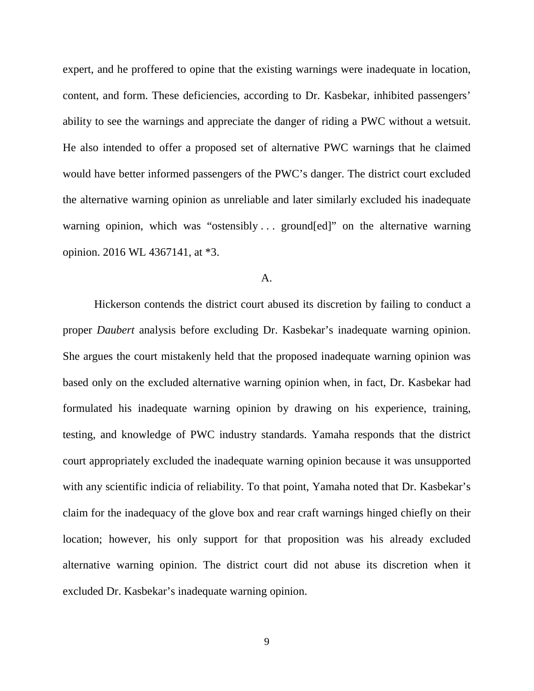expert, and he proffered to opine that the existing warnings were inadequate in location, content, and form. These deficiencies, according to Dr. Kasbekar, inhibited passengers' ability to see the warnings and appreciate the danger of riding a PWC without a wetsuit. He also intended to offer a proposed set of alternative PWC warnings that he claimed would have better informed passengers of the PWC's danger. The district court excluded the alternative warning opinion as unreliable and later similarly excluded his inadequate warning opinion, which was "ostensibly ... ground[ed]" on the alternative warning opinion. 2016 WL 4367141, at \*3.

### A.

Hickerson contends the district court abused its discretion by failing to conduct a proper *Daubert* analysis before excluding Dr. Kasbekar's inadequate warning opinion. She argues the court mistakenly held that the proposed inadequate warning opinion was based only on the excluded alternative warning opinion when, in fact, Dr. Kasbekar had formulated his inadequate warning opinion by drawing on his experience, training, testing, and knowledge of PWC industry standards. Yamaha responds that the district court appropriately excluded the inadequate warning opinion because it was unsupported with any scientific indicia of reliability. To that point, Yamaha noted that Dr. Kasbekar's claim for the inadequacy of the glove box and rear craft warnings hinged chiefly on their location; however, his only support for that proposition was his already excluded alternative warning opinion. The district court did not abuse its discretion when it excluded Dr. Kasbekar's inadequate warning opinion.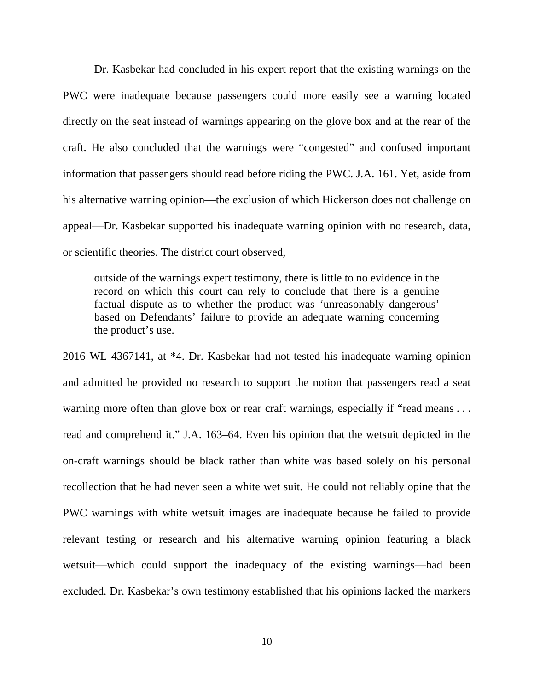Dr. Kasbekar had concluded in his expert report that the existing warnings on the PWC were inadequate because passengers could more easily see a warning located directly on the seat instead of warnings appearing on the glove box and at the rear of the craft. He also concluded that the warnings were "congested" and confused important information that passengers should read before riding the PWC. J.A. 161. Yet, aside from his alternative warning opinion—the exclusion of which Hickerson does not challenge on appeal—Dr. Kasbekar supported his inadequate warning opinion with no research, data, or scientific theories. The district court observed,

outside of the warnings expert testimony, there is little to no evidence in the record on which this court can rely to conclude that there is a genuine factual dispute as to whether the product was 'unreasonably dangerous' based on Defendants' failure to provide an adequate warning concerning the product's use.

2016 WL 4367141, at \*4. Dr. Kasbekar had not tested his inadequate warning opinion and admitted he provided no research to support the notion that passengers read a seat warning more often than glove box or rear craft warnings, especially if "read means . . . read and comprehend it." J.A. 163–64. Even his opinion that the wetsuit depicted in the on-craft warnings should be black rather than white was based solely on his personal recollection that he had never seen a white wet suit. He could not reliably opine that the PWC warnings with white wetsuit images are inadequate because he failed to provide relevant testing or research and his alternative warning opinion featuring a black wetsuit—which could support the inadequacy of the existing warnings—had been excluded. Dr. Kasbekar's own testimony established that his opinions lacked the markers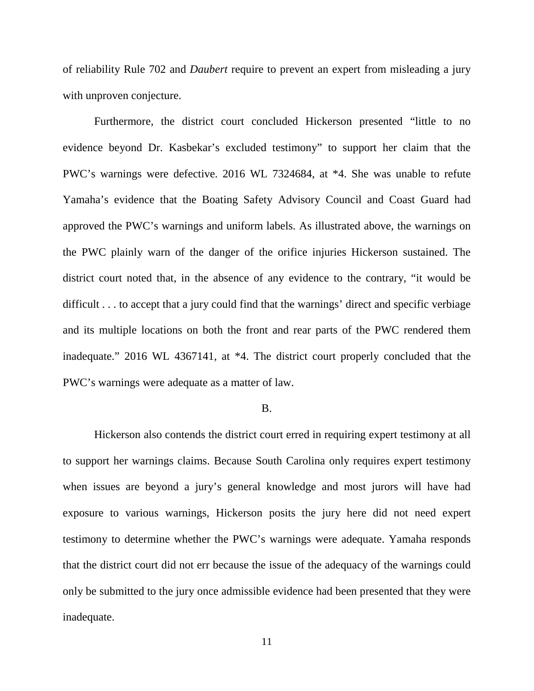of reliability Rule 702 and *Daubert* require to prevent an expert from misleading a jury with unproven conjecture.

Furthermore, the district court concluded Hickerson presented "little to no evidence beyond Dr. Kasbekar's excluded testimony" to support her claim that the PWC's warnings were defective. 2016 WL 7324684, at \*4. She was unable to refute Yamaha's evidence that the Boating Safety Advisory Council and Coast Guard had approved the PWC's warnings and uniform labels. As illustrated above, the warnings on the PWC plainly warn of the danger of the orifice injuries Hickerson sustained. The district court noted that, in the absence of any evidence to the contrary, "it would be difficult . . . to accept that a jury could find that the warnings' direct and specific verbiage and its multiple locations on both the front and rear parts of the PWC rendered them inadequate." 2016 WL 4367141, at \*4. The district court properly concluded that the PWC's warnings were adequate as a matter of law.

#### B.

Hickerson also contends the district court erred in requiring expert testimony at all to support her warnings claims. Because South Carolina only requires expert testimony when issues are beyond a jury's general knowledge and most jurors will have had exposure to various warnings, Hickerson posits the jury here did not need expert testimony to determine whether the PWC's warnings were adequate. Yamaha responds that the district court did not err because the issue of the adequacy of the warnings could only be submitted to the jury once admissible evidence had been presented that they were inadequate.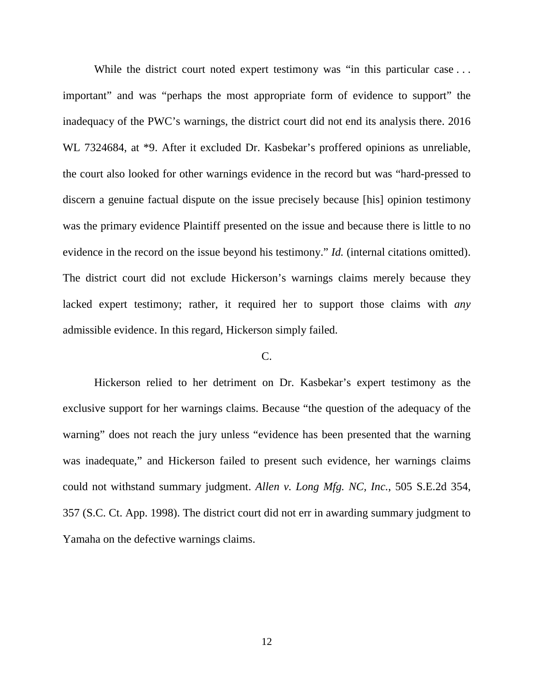While the district court noted expert testimony was "in this particular case ... important" and was "perhaps the most appropriate form of evidence to support" the inadequacy of the PWC's warnings, the district court did not end its analysis there. 2016 WL 7324684, at \*9. After it excluded Dr. Kasbekar's proffered opinions as unreliable, the court also looked for other warnings evidence in the record but was "hard-pressed to discern a genuine factual dispute on the issue precisely because [his] opinion testimony was the primary evidence Plaintiff presented on the issue and because there is little to no evidence in the record on the issue beyond his testimony." *Id.* (internal citations omitted). The district court did not exclude Hickerson's warnings claims merely because they lacked expert testimony; rather, it required her to support those claims with *any* admissible evidence. In this regard, Hickerson simply failed.

### C.

Hickerson relied to her detriment on Dr. Kasbekar's expert testimony as the exclusive support for her warnings claims. Because "the question of the adequacy of the warning" does not reach the jury unless "evidence has been presented that the warning was inadequate," and Hickerson failed to present such evidence, her warnings claims could not withstand summary judgment. *Allen v. Long Mfg. NC, Inc.*, 505 S.E.2d 354, 357 (S.C. Ct. App. 1998). The district court did not err in awarding summary judgment to Yamaha on the defective warnings claims.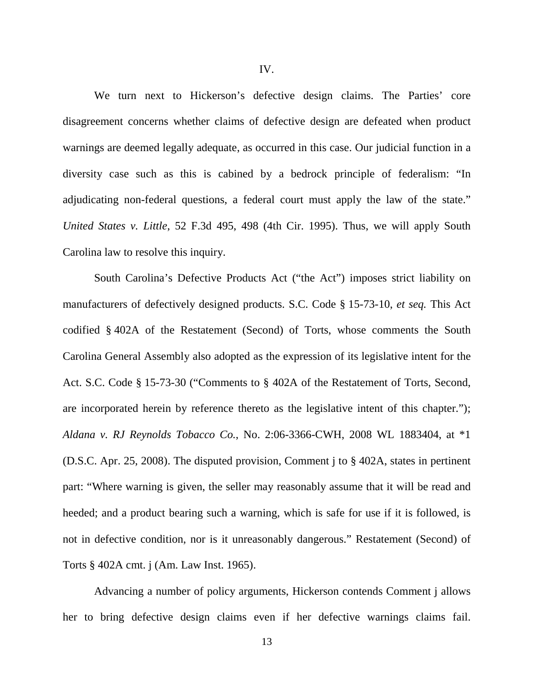We turn next to Hickerson's defective design claims. The Parties' core disagreement concerns whether claims of defective design are defeated when product warnings are deemed legally adequate, as occurred in this case. Our judicial function in a diversity case such as this is cabined by a bedrock principle of federalism: "In adjudicating non-federal questions, a federal court must apply the law of the state." *United States v. Little*, 52 F.3d 495, 498 (4th Cir. 1995). Thus, we will apply South Carolina law to resolve this inquiry.

South Carolina's Defective Products Act ("the Act") imposes strict liability on manufacturers of defectively designed products. S.C. Code § 15-73-10, *et seq.* This Act codified § 402A of the Restatement (Second) of Torts, whose comments the South Carolina General Assembly also adopted as the expression of its legislative intent for the Act. S.C. Code § 15-73-30 ("Comments to § 402A of the Restatement of Torts, Second, are incorporated herein by reference thereto as the legislative intent of this chapter."); *Aldana v. RJ Reynolds Tobacco Co.*, No. 2:06-3366-CWH, 2008 WL 1883404, at \*1 (D.S.C. Apr. 25, 2008). The disputed provision, Comment j to § 402A, states in pertinent part: "Where warning is given, the seller may reasonably assume that it will be read and heeded; and a product bearing such a warning, which is safe for use if it is followed, is not in defective condition, nor is it unreasonably dangerous." Restatement (Second) of Torts § 402A cmt. j (Am. Law Inst. 1965).

Advancing a number of policy arguments, Hickerson contends Comment j allows her to bring defective design claims even if her defective warnings claims fail.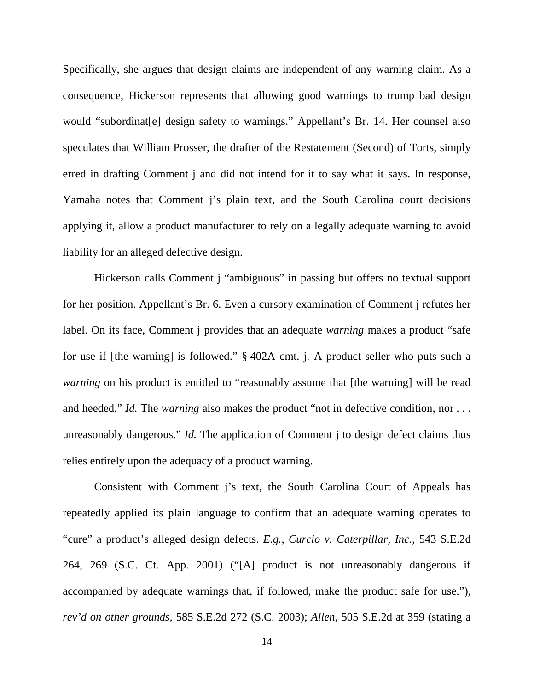Specifically, she argues that design claims are independent of any warning claim. As a consequence, Hickerson represents that allowing good warnings to trump bad design would "subordinat[e] design safety to warnings." Appellant's Br. 14. Her counsel also speculates that William Prosser, the drafter of the Restatement (Second) of Torts, simply erred in drafting Comment j and did not intend for it to say what it says. In response, Yamaha notes that Comment j's plain text, and the South Carolina court decisions applying it, allow a product manufacturer to rely on a legally adequate warning to avoid liability for an alleged defective design.

Hickerson calls Comment j "ambiguous" in passing but offers no textual support for her position. Appellant's Br. 6. Even a cursory examination of Comment j refutes her label. On its face, Comment j provides that an adequate *warning* makes a product "safe for use if [the warning] is followed." § 402A cmt. j. A product seller who puts such a *warning* on his product is entitled to "reasonably assume that [the warning] will be read and heeded." *Id.* The *warning* also makes the product "not in defective condition, nor ... unreasonably dangerous." *Id.* The application of Comment *i* to design defect claims thus relies entirely upon the adequacy of a product warning.

Consistent with Comment j's text, the South Carolina Court of Appeals has repeatedly applied its plain language to confirm that an adequate warning operates to "cure" a product's alleged design defects. *E.g.*, *Curcio v. Caterpillar, Inc.*, 543 S.E.2d 264, 269 (S.C. Ct. App. 2001) ("[A] product is not unreasonably dangerous if accompanied by adequate warnings that, if followed, make the product safe for use."), *rev'd on other grounds*, 585 S.E.2d 272 (S.C. 2003); *Allen*, 505 S.E.2d at 359 (stating a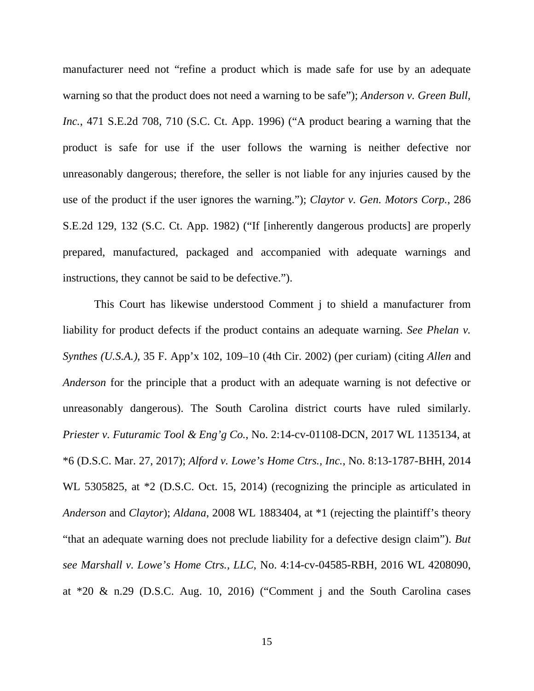manufacturer need not "refine a product which is made safe for use by an adequate warning so that the product does not need a warning to be safe"); *Anderson v. Green Bull, Inc.*, 471 S.E.2d 708, 710 (S.C. Ct. App. 1996) ("A product bearing a warning that the product is safe for use if the user follows the warning is neither defective nor unreasonably dangerous; therefore, the seller is not liable for any injuries caused by the use of the product if the user ignores the warning."); *Claytor v. Gen. Motors Corp.*, 286 S.E.2d 129, 132 (S.C. Ct. App. 1982) ("If [inherently dangerous products] are properly prepared, manufactured, packaged and accompanied with adequate warnings and instructions, they cannot be said to be defective.").

This Court has likewise understood Comment j to shield a manufacturer from liability for product defects if the product contains an adequate warning. *See Phelan v. Synthes (U.S.A.)*, 35 F. App'x 102, 109–10 (4th Cir. 2002) (per curiam) (citing *Allen* and *Anderson* for the principle that a product with an adequate warning is not defective or unreasonably dangerous). The South Carolina district courts have ruled similarly. *Priester v. Futuramic Tool & Eng'g Co.*, No. 2:14-cv-01108-DCN, 2017 WL 1135134, at \*6 (D.S.C. Mar. 27, 2017); *Alford v. Lowe's Home Ctrs., Inc.*, No. 8:13-1787-BHH, 2014 WL 5305825, at  $*2$  (D.S.C. Oct. 15, 2014) (recognizing the principle as articulated in *Anderson* and *Claytor*); *Aldana*, 2008 WL 1883404, at \*1 (rejecting the plaintiff's theory "that an adequate warning does not preclude liability for a defective design claim"). *But see Marshall v. Lowe's Home Ctrs., LLC*, No. 4:14-cv-04585-RBH, 2016 WL 4208090, at \*20 & n.29 (D.S.C. Aug. 10, 2016) ("Comment j and the South Carolina cases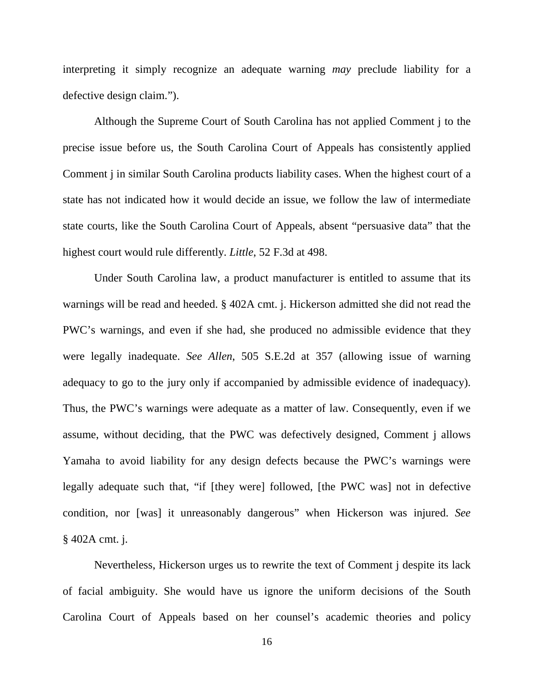interpreting it simply recognize an adequate warning *may* preclude liability for a defective design claim.").

Although the Supreme Court of South Carolina has not applied Comment j to the precise issue before us, the South Carolina Court of Appeals has consistently applied Comment j in similar South Carolina products liability cases. When the highest court of a state has not indicated how it would decide an issue, we follow the law of intermediate state courts, like the South Carolina Court of Appeals, absent "persuasive data" that the highest court would rule differently. *Little*, 52 F.3d at 498.

Under South Carolina law, a product manufacturer is entitled to assume that its warnings will be read and heeded. § 402A cmt. j. Hickerson admitted she did not read the PWC's warnings, and even if she had, she produced no admissible evidence that they were legally inadequate. *See Allen*, 505 S.E.2d at 357 (allowing issue of warning adequacy to go to the jury only if accompanied by admissible evidence of inadequacy). Thus, the PWC's warnings were adequate as a matter of law. Consequently, even if we assume, without deciding, that the PWC was defectively designed, Comment j allows Yamaha to avoid liability for any design defects because the PWC's warnings were legally adequate such that, "if [they were] followed, [the PWC was] not in defective condition, nor [was] it unreasonably dangerous" when Hickerson was injured. *See* § 402A cmt. j.

Nevertheless, Hickerson urges us to rewrite the text of Comment j despite its lack of facial ambiguity. She would have us ignore the uniform decisions of the South Carolina Court of Appeals based on her counsel's academic theories and policy